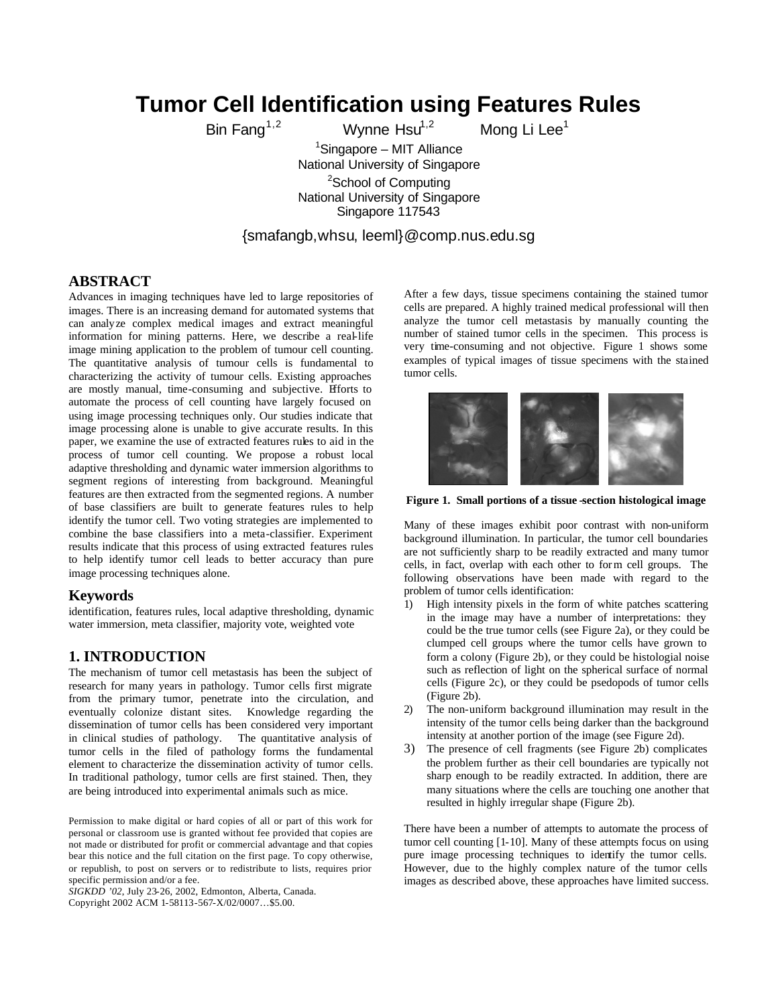# **Tumor Cell Identification using Features Rules**

Bin Fang<sup>1,2</sup> Wynne Hsu<sup>1,2</sup> Mong Li Lee<sup>1</sup>

<sup>1</sup>Singapore – MIT Alliance National University of Singapore <sup>2</sup>School of Computing National University of Singapore

Singapore 117543

{smafangb,whsu, leeml}@comp.nus.edu.sg

# **ABSTRACT**

Advances in imaging techniques have led to large repositories of images. There is an increasing demand for automated systems that can analyze complex medical images and extract meaningful information for mining patterns. Here, we describe a real-life image mining application to the problem of tumour cell counting. The quantitative analysis of tumour cells is fundamental to characterizing the activity of tumour cells. Existing approaches are mostly manual, time-consuming and subjective. Efforts to automate the process of cell counting have largely focused on using image processing techniques only. Our studies indicate that image processing alone is unable to give accurate results. In this paper, we examine the use of extracted features rules to aid in the process of tumor cell counting. We propose a robust local adaptive thresholding and dynamic water immersion algorithms to segment regions of interesting from background. Meaningful features are then extracted from the segmented regions. A number of base classifiers are built to generate features rules to help identify the tumor cell. Two voting strategies are implemented to combine the base classifiers into a meta-classifier. Experiment results indicate that this process of using extracted features rules to help identify tumor cell leads to better accuracy than pure image processing techniques alone.

## **Keywords**

identification, features rules, local adaptive thresholding, dynamic water immersion, meta classifier, majority vote, weighted vote

# **1. INTRODUCTION**

The mechanism of tumor cell metastasis has been the subject of research for many years in pathology. Tumor cells first migrate from the primary tumor, penetrate into the circulation, and eventually colonize distant sites. Knowledge regarding the dissemination of tumor cells has been considered very important in clinical studies of pathology. The quantitative analysis of tumor cells in the filed of pathology forms the fundamental element to characterize the dissemination activity of tumor cells. In traditional pathology, tumor cells are first stained. Then, they are being introduced into experimental animals such as mice.

Permission to make digital or hard copies of all or part of this work for personal or classroom use is granted without fee provided that copies are not made or distributed for profit or commercial advantage and that copies bear this notice and the full citation on the first page. To copy otherwise, or republish, to post on servers or to redistribute to lists, requires prior specific permission and/or a fee.

*SIGKDD '02*, July 23-26, 2002, Edmonton, Alberta, Canada.

Copyright 2002 ACM 1-58113-567-X/02/0007…\$5.00.

After a few days, tissue specimens containing the stained tumor cells are prepared. A highly trained medical professional will then analyze the tumor cell metastasis by manually counting the number of stained tumor cells in the specimen. This process is very time-consuming and not objective. Figure 1 shows some examples of typical images of tissue specimens with the stained tumor cells.



**Figure 1. Small portions of a tissue -section histological image**

Many of these images exhibit poor contrast with non-uniform background illumination. In particular, the tumor cell boundaries are not sufficiently sharp to be readily extracted and many tumor cells, in fact, overlap with each other to form cell groups. The following observations have been made with regard to the problem of tumor cells identification:

- 1) High intensity pixels in the form of white patches scattering in the image may have a number of interpretations: they could be the true tumor cells (see Figure 2a), or they could be clumped cell groups where the tumor cells have grown to form a colony (Figure 2b), or they could be histologial noise such as reflection of light on the spherical surface of normal cells (Figure 2c), or they could be psedopods of tumor cells (Figure 2b).
- 2) The non-uniform background illumination may result in the intensity of the tumor cells being darker than the background intensity at another portion of the image (see Figure 2d).
- 3) The presence of cell fragments (see Figure 2b) complicates the problem further as their cell boundaries are typically not sharp enough to be readily extracted. In addition, there are many situations where the cells are touching one another that resulted in highly irregular shape (Figure 2b).

There have been a number of attempts to automate the process of tumor cell counting [1-10]. Many of these attempts focus on using pure image processing techniques to identify the tumor cells. However, due to the highly complex nature of the tumor cells images as described above, these approaches have limited success.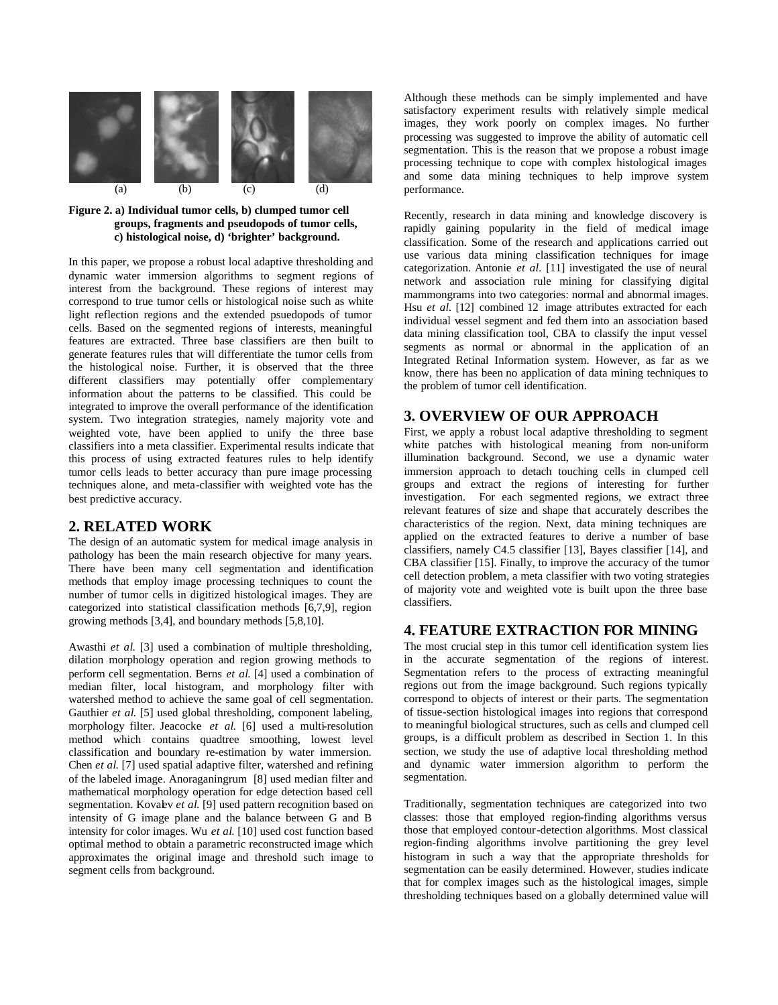

**Figure 2. a) Individual tumor cells, b) clumped tumor cell groups, fragments and pseudopods of tumor cells, c) histological noise, d) 'brighter' background.**

In this paper, we propose a robust local adaptive thresholding and dynamic water immersion algorithms to segment regions of interest from the background. These regions of interest may correspond to true tumor cells or histological noise such as white light reflection regions and the extended psuedopods of tumor cells. Based on the segmented regions of interests, meaningful features are extracted. Three base classifiers are then built to generate features rules that will differentiate the tumor cells from the histological noise. Further, it is observed that the three different classifiers may potentially offer complementary information about the patterns to be classified. This could be integrated to improve the overall performance of the identification system. Two integration strategies, namely majority vote and weighted vote, have been applied to unify the three base classifiers into a meta classifier. Experimental results indicate that this process of using extracted features rules to help identify tumor cells leads to better accuracy than pure image processing techniques alone, and meta-classifier with weighted vote has the best predictive accuracy.

### **2. RELATED WORK**

The design of an automatic system for medical image analysis in pathology has been the main research objective for many years. There have been many cell segmentation and identification methods that employ image processing techniques to count the number of tumor cells in digitized histological images. They are categorized into statistical classification methods [6,7,9], region growing methods [3,4], and boundary methods [5,8,10].

Awasthi *et al*. [3] used a combination of multiple thresholding, dilation morphology operation and region growing methods to perform cell segmentation. Berns *et al*. [4] used a combination of median filter, local histogram, and morphology filter with watershed method to achieve the same goal of cell segmentation. Gauthier *et al*. [5] used global thresholding, component labeling, morphology filter. Jeacocke *et al*. [6] used a multi-resolution method which contains quadtree smoothing, lowest level classification and boundary re-estimation by water immersion. Chen *et al*. [7] used spatial adaptive filter, watershed and refining of the labeled image. Anoraganingrum [8] used median filter and mathematical morphology operation for edge detection based cell segmentation. Kovalev *et al.* [9] used pattern recognition based on intensity of G image plane and the balance between G and B intensity for color images. Wu *et al*. [10] used cost function based optimal method to obtain a parametric reconstructed image which approximates the original image and threshold such image to segment cells from background.

Although these methods can be simply implemented and have satisfactory experiment results with relatively simple medical images, they work poorly on complex images. No further processing was suggested to improve the ability of automatic cell segmentation. This is the reason that we propose a robust image processing technique to cope with complex histological images and some data mining techniques to help improve system performance.

Recently, research in data mining and knowledge discovery is rapidly gaining popularity in the field of medical image classification. Some of the research and applications carried out use various data mining classification techniques for image categorization. Antonie *et al.* [11] investigated the use of neural network and association rule mining for classifying digital mammongrams into two categories: normal and abnormal images. Hsu *et al.* [12] combined 12 image attributes extracted for each individual vessel segment and fed them into an association based data mining classification tool, CBA to classify the input vessel segments as normal or abnormal in the application of an Integrated Retinal Information system. However, as far as we know, there has been no application of data mining techniques to the problem of tumor cell identification.

# **3. OVERVIEW OF OUR APPROACH**

First, we apply a robust local adaptive thresholding to segment white patches with histological meaning from non-uniform illumination background. Second, we use a dynamic water immersion approach to detach touching cells in clumped cell groups and extract the regions of interesting for further investigation. For each segmented regions, we extract three relevant features of size and shape that accurately describes the characteristics of the region. Next, data mining techniques are applied on the extracted features to derive a number of base classifiers, namely C4.5 classifier [13], Bayes classifier [14], and CBA classifier [15]. Finally, to improve the accuracy of the tumor cell detection problem, a meta classifier with two voting strategies of majority vote and weighted vote is built upon the three base classifiers.

# **4. FEATURE EXTRACTION FOR MINING**

The most crucial step in this tumor cell identification system lies in the accurate segmentation of the regions of interest. Segmentation refers to the process of extracting meaningful regions out from the image background. Such regions typically correspond to objects of interest or their parts. The segmentation of tissue-section histological images into regions that correspond to meaningful biological structures, such as cells and clumped cell groups, is a difficult problem as described in Section 1. In this section, we study the use of adaptive local thresholding method and dynamic water immersion algorithm to perform the segmentation.

Traditionally, segmentation techniques are categorized into two classes: those that employed region-finding algorithms versus those that employed contour-detection algorithms. Most classical region-finding algorithms involve partitioning the grey level histogram in such a way that the appropriate thresholds for segmentation can be easily determined. However, studies indicate that for complex images such as the histological images, simple thresholding techniques based on a globally determined value will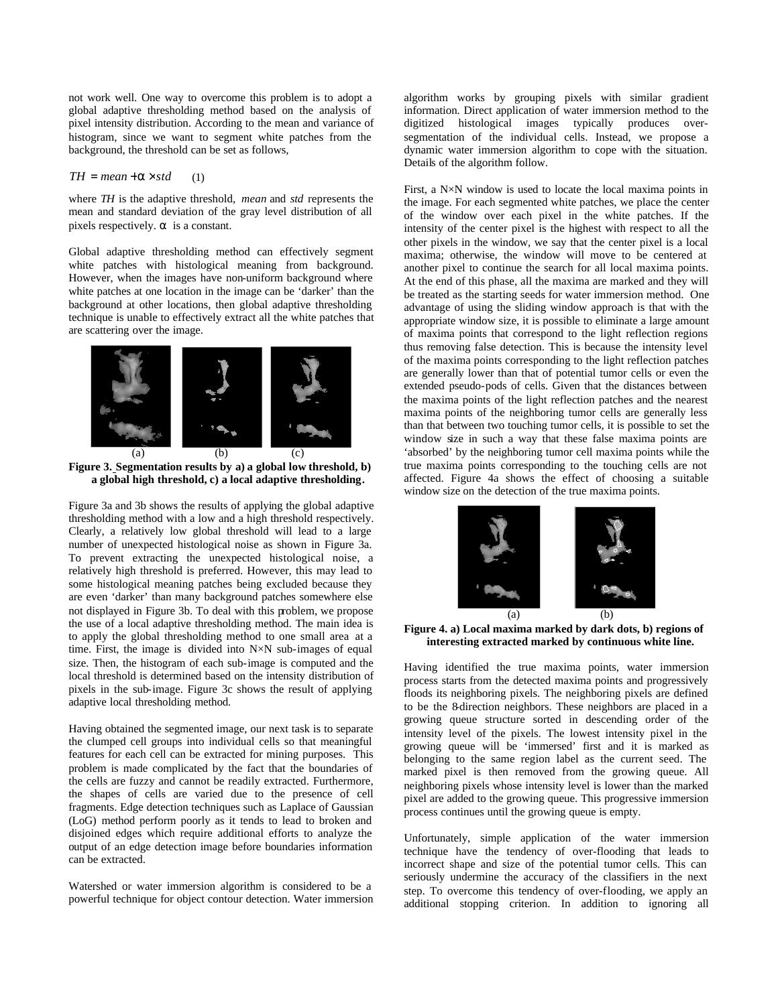not work well. One way to overcome this problem is to adopt a global adaptive thresholding method based on the analysis of pixel intensity distribution. According to the mean and variance of histogram, since we want to segment white patches from the background, the threshold can be set as follows,

#### $TH = mean + a \times std$  (1)

where *TH* is the adaptive threshold, *mean* and *std* represents the mean and standard deviation of the gray level distribution of all pixels respectively. *a* is a constant.

Global adaptive thresholding method can effectively segment white patches with histological meaning from background. However, when the images have non-uniform background where white patches at one location in the image can be 'darker' than the background at other locations, then global adaptive thresholding technique is unable to effectively extract all the white patches that are scattering over the image.



**Figure 3. Segmentation results by a) a global low threshold, b) a global high threshold, c) a local adaptive thresholding.**

Figure 3a and 3b shows the results of applying the global adaptive thresholding method with a low and a high threshold respectively. Clearly, a relatively low global threshold will lead to a large number of unexpected histological noise as shown in Figure 3a. To prevent extracting the unexpected histological noise, a relatively high threshold is preferred. However, this may lead to some histological meaning patches being excluded because they are even 'darker' than many background patches somewhere else not displayed in Figure 3b. To deal with this problem, we propose the use of a local adaptive thresholding method. The main idea is to apply the global thresholding method to one small area at a time. First, the image is divided into N×N sub-images of equal size. Then, the histogram of each sub-image is computed and the local threshold is determined based on the intensity distribution of pixels in the sub-image. Figure 3c shows the result of applying adaptive local thresholding method.

Having obtained the segmented image, our next task is to separate the clumped cell groups into individual cells so that meaningful features for each cell can be extracted for mining purposes. This problem is made complicated by the fact that the boundaries of the cells are fuzzy and cannot be readily extracted. Furthermore, the shapes of cells are varied due to the presence of cell fragments. Edge detection techniques such as Laplace of Gaussian (LoG) method perform poorly as it tends to lead to broken and disjoined edges which require additional efforts to analyze the output of an edge detection image before boundaries information can be extracted.

Watershed or water immersion algorithm is considered to be a powerful technique for object contour detection. Water immersion

algorithm works by grouping pixels with similar gradient information. Direct application of water immersion method to the digitized histological images typically produces oversegmentation of the individual cells. Instead, we propose a dynamic water immersion algorithm to cope with the situation. Details of the algorithm follow.

First, a N×N window is used to locate the local maxima points in the image. For each segmented white patches, we place the center of the window over each pixel in the white patches. If the intensity of the center pixel is the highest with respect to all the other pixels in the window, we say that the center pixel is a local maxima; otherwise, the window will move to be centered at another pixel to continue the search for all local maxima points. At the end of this phase, all the maxima are marked and they will be treated as the starting seeds for water immersion method. One advantage of using the sliding window approach is that with the appropriate window size, it is possible to eliminate a large amount of maxima points that correspond to the light reflection regions thus removing false detection. This is because the intensity level of the maxima points corresponding to the light reflection patches are generally lower than that of potential tumor cells or even the extended pseudo-pods of cells. Given that the distances between the maxima points of the light reflection patches and the nearest maxima points of the neighboring tumor cells are generally less than that between two touching tumor cells, it is possible to set the window size in such a way that these false maxima points are 'absorbed' by the neighboring tumor cell maxima points while the true maxima points corresponding to the touching cells are not affected. Figure 4a shows the effect of choosing a suitable window size on the detection of the true maxima points.



**Figure 4. a) Local maxima marked by dark dots, b) regions of interesting extracted marked by continuous white line.**

Having identified the true maxima points, water immersion process starts from the detected maxima points and progressively floods its neighboring pixels. The neighboring pixels are defined to be the 8-direction neighbors. These neighbors are placed in a growing queue structure sorted in descending order of the intensity level of the pixels. The lowest intensity pixel in the growing queue will be 'immersed' first and it is marked as belonging to the same region label as the current seed. The marked pixel is then removed from the growing queue. All neighboring pixels whose intensity level is lower than the marked pixel are added to the growing queue. This progressive immersion process continues until the growing queue is empty.

Unfortunately, simple application of the water immersion technique have the tendency of over-flooding that leads to incorrect shape and size of the potential tumor cells. This can seriously undermine the accuracy of the classifiers in the next step. To overcome this tendency of over-flooding, we apply an additional stopping criterion. In addition to ignoring all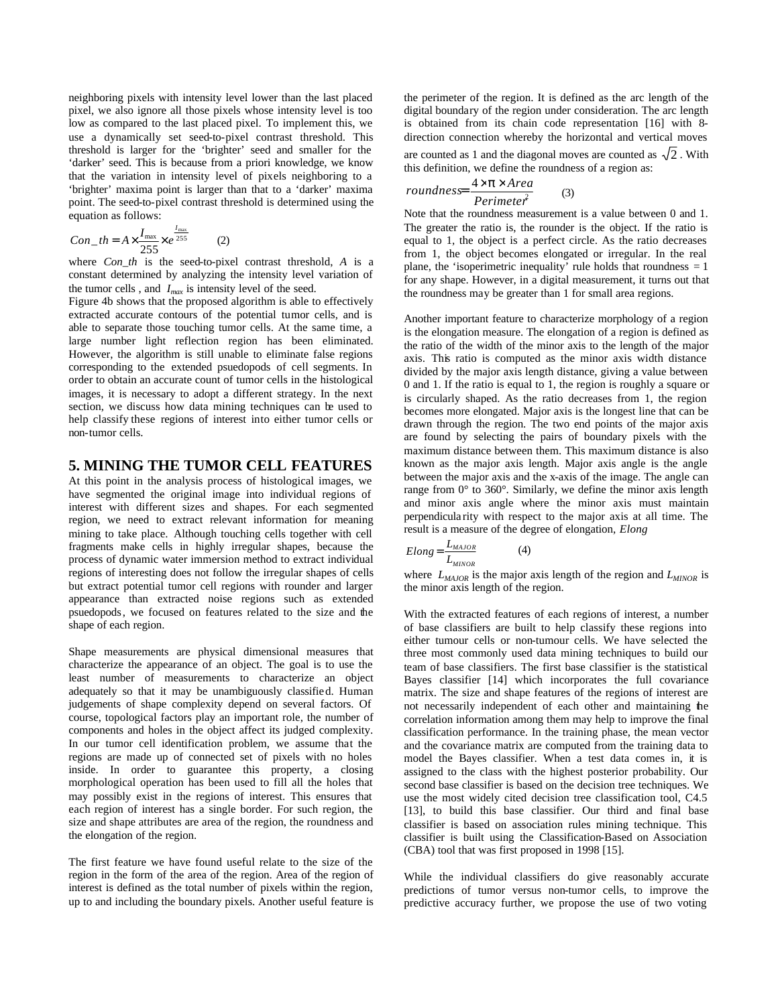neighboring pixels with intensity level lower than the last placed pixel, we also ignore all those pixels whose intensity level is too low as compared to the last placed pixel. To implement this, we use a dynamically set seed-to-pixel contrast threshold. This threshold is larger for the 'brighter' seed and smaller for the 'darker' seed. This is because from a priori knowledge, we know that the variation in intensity level of pixels neighboring to a 'brighter' maxima point is larger than that to a 'darker' maxima point. The seed-to-pixel contrast threshold is determined using the equation as follows:

$$
Con_{th} = A \times \frac{I_{\text{max}}}{255} \times e^{\frac{I_{\text{max}}}{255}}
$$
 (2)

where *Con\_th* is the seed-to-pixel contrast threshold, *A* is a constant determined by analyzing the intensity level variation of the tumor cells , and *Imax* is intensity level of the seed.

Figure 4b shows that the proposed algorithm is able to effectively extracted accurate contours of the potential tumor cells, and is able to separate those touching tumor cells. At the same time, a large number light reflection region has been eliminated. However, the algorithm is still unable to eliminate false regions corresponding to the extended psuedopods of cell segments. In order to obtain an accurate count of tumor cells in the histological images, it is necessary to adopt a different strategy. In the next section, we discuss how data mining techniques can be used to help classify these regions of interest into either tumor cells or non-tumor cells.

### **5. MINING THE TUMOR CELL FEATURES**

At this point in the analysis process of histological images, we have segmented the original image into individual regions of interest with different sizes and shapes. For each segmented region, we need to extract relevant information for meaning mining to take place. Although touching cells together with cell fragments make cells in highly irregular shapes, because the process of dynamic water immersion method to extract individual regions of interesting does not follow the irregular shapes of cells but extract potential tumor cell regions with rounder and larger appearance than extracted noise regions such as extended psuedopods, we focused on features related to the size and the shape of each region.

Shape measurements are physical dimensional measures that characterize the appearance of an object. The goal is to use the least number of measurements to characterize an object adequately so that it may be unambiguously classified. Human judgements of shape complexity depend on several factors. Of course, topological factors play an important role, the number of components and holes in the object affect its judged complexity. In our tumor cell identification problem, we assume that the regions are made up of connected set of pixels with no holes inside. In order to guarantee this property, a closing morphological operation has been used to fill all the holes that may possibly exist in the regions of interest. This ensures that each region of interest has a single border. For such region, the size and shape attributes are area of the region, the roundness and the elongation of the region.

The first feature we have found useful relate to the size of the region in the form of the area of the region. Area of the region of interest is defined as the total number of pixels within the region, up to and including the boundary pixels. Another useful feature is

the perimeter of the region. It is defined as the arc length of the digital boundary of the region under consideration. The arc length is obtained from its chain code representation [16] with 8 direction connection whereby the horizontal and vertical moves are counted as 1 and the diagonal moves are counted as  $\sqrt{2}$ . With this definition, we define the roundness of a region as:

$$
roundness = \frac{4 \times p \times Area}{Perimeter^2}
$$
 (3)

Note that the roundness measurement is a value between 0 and 1. The greater the ratio is, the rounder is the object. If the ratio is equal to 1, the object is a perfect circle. As the ratio decreases from 1, the object becomes elongated or irregular. In the real plane, the 'isoperimetric inequality' rule holds that roundness  $= 1$ for any shape. However, in a digital measurement, it turns out that the roundness may be greater than 1 for small area regions.

Another important feature to characterize morphology of a region is the elongation measure. The elongation of a region is defined as the ratio of the width of the minor axis to the length of the major axis. This ratio is computed as the minor axis width distance divided by the major axis length distance, giving a value between 0 and 1. If the ratio is equal to 1, the region is roughly a square or is circularly shaped. As the ratio decreases from 1, the region becomes more elongated. Major axis is the longest line that can be drawn through the region. The two end points of the major axis are found by selecting the pairs of boundary pixels with the maximum distance between them. This maximum distance is also known as the major axis length. Major axis angle is the angle between the major axis and the x-axis of the image. The angle can range from 0° to 360°. Similarly, we define the minor axis length and minor axis angle where the minor axis must maintain perpendicula rity with respect to the major axis at all time. The result is a measure of the degree of elongation, *Elong*

$$
Elong = \frac{L_{MAJOR}}{L_{MINOR}} \tag{4}
$$

where *LMAJOR* is the major axis length of the region and *LMINOR* is the minor axis length of the region.

With the extracted features of each regions of interest, a number of base classifiers are built to help classify these regions into either tumour cells or non-tumour cells. We have selected the three most commonly used data mining techniques to build our team of base classifiers. The first base classifier is the statistical Bayes classifier [14] which incorporates the full covariance matrix. The size and shape features of the regions of interest are not necessarily independent of each other and maintaining the correlation information among them may help to improve the final classification performance. In the training phase, the mean vector and the covariance matrix are computed from the training data to model the Bayes classifier. When a test data comes in, it is assigned to the class with the highest posterior probability. Our second base classifier is based on the decision tree techniques. We use the most widely cited decision tree classification tool, C4.5 [13], to build this base classifier. Our third and final base classifier is based on association rules mining technique. This classifier is built using the Classification-Based on Association (CBA) tool that was first proposed in 1998 [15].

While the individual classifiers do give reasonably accurate predictions of tumor versus non-tumor cells, to improve the predictive accuracy further, we propose the use of two voting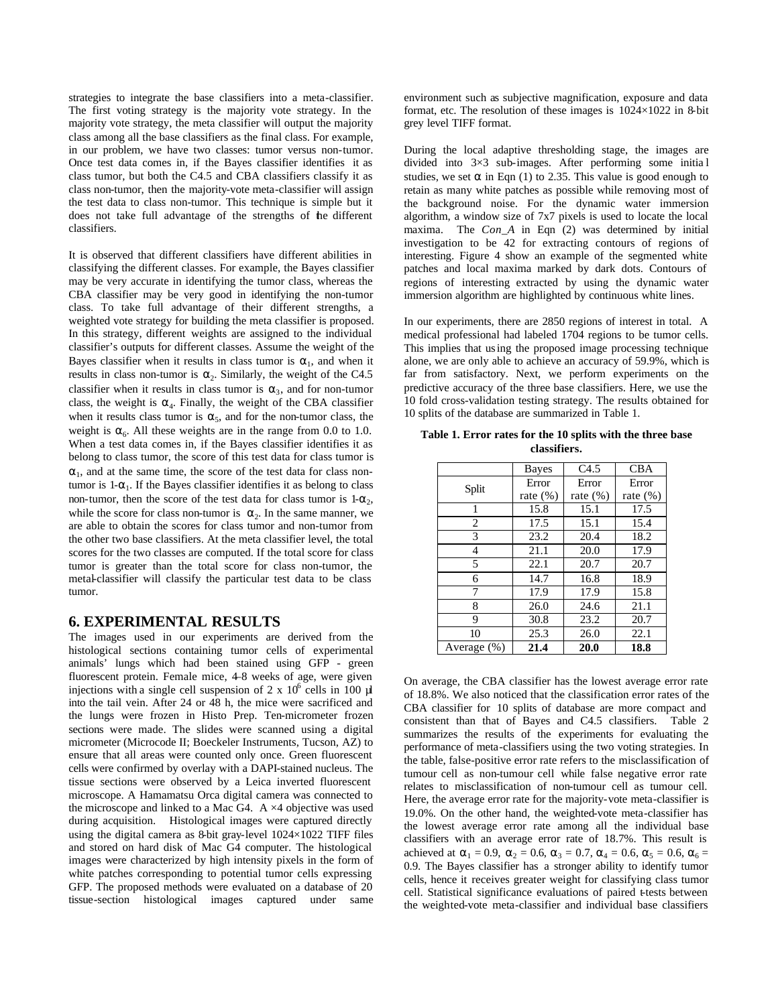strategies to integrate the base classifiers into a meta-classifier. The first voting strategy is the majority vote strategy. In the majority vote strategy, the meta classifier will output the majority class among all the base classifiers as the final class. For example, in our problem, we have two classes: tumor versus non-tumor. Once test data comes in, if the Bayes classifier identifies it as class tumor, but both the C4.5 and CBA classifiers classify it as class non-tumor, then the majority-vote meta-classifier will assign the test data to class non-tumor. This technique is simple but it does not take full advantage of the strengths of the different classifiers.

It is observed that different classifiers have different abilities in classifying the different classes. For example, the Bayes classifier may be very accurate in identifying the tumor class, whereas the CBA classifier may be very good in identifying the non-tumor class. To take full advantage of their different strengths, a weighted vote strategy for building the meta classifier is proposed. In this strategy, different weights are assigned to the individual classifier's outputs for different classes. Assume the weight of the Bayes classifier when it results in class tumor is  $\alpha_1$ , and when it results in class non-tumor is  $\alpha_2$ . Similarly, the weight of the C4.5 classifier when it results in class tumor is  $\alpha_3$ , and for non-tumor class, the weight is  $\alpha_4$ . Finally, the weight of the CBA classifier when it results class tumor is  $\alpha_5$ , and for the non-tumor class, the weight is  $\alpha_6$ . All these weights are in the range from 0.0 to 1.0. When a test data comes in, if the Bayes classifier identifies it as belong to class tumor, the score of this test data for class tumor is  $\alpha_1$ , and at the same time, the score of the test data for class nontumor is  $1-\alpha_1$ . If the Bayes classifier identifies it as belong to class non-tumor, then the score of the test data for class tumor is  $1-\alpha_2$ , while the score for class non-tumor is  $\alpha_2$ . In the same manner, we are able to obtain the scores for class tumor and non-tumor from the other two base classifiers. At the meta classifier level, the total scores for the two classes are computed. If the total score for class tumor is greater than the total score for class non-tumor, the metal-classifier will classify the particular test data to be class tumor.

## **6. EXPERIMENTAL RESULTS**

The images used in our experiments are derived from the histological sections containing tumor cells of experimental animals' lungs which had been stained using GFP - green fluorescent protein. Female mice, 4–8 weeks of age, were given injections with a single cell suspension of 2 x  $10^6$  cells in 100  $\mu$ into the tail vein. After 24 or 48 h, the mice were sacrificed and the lungs were frozen in Histo Prep. Ten-micrometer frozen sections were made. The slides were scanned using a digital micrometer (Microcode II; Boeckeler Instruments, Tucson, AZ) to ensure that all areas were counted only once. Green fluorescent cells were confirmed by overlay with a DAPI-stained nucleus. The tissue sections were observed by a Leica inverted fluorescent microscope. A Hamamatsu Orca digital camera was connected to the microscope and linked to a Mac G4. A  $\times$ 4 objective was used during acquisition. Histological images were captured directly using the digital camera as 8-bit gray-level 1024×1022 TIFF files and stored on hard disk of Mac G4 computer. The histological images were characterized by high intensity pixels in the form of white patches corresponding to potential tumor cells expressing GFP. The proposed methods were evaluated on a database of 20 tissue-section histological images captured under same

environment such as subjective magnification, exposure and data format, etc. The resolution of these images is 1024×1022 in 8-bit grey level TIFF format.

During the local adaptive thresholding stage, the images are divided into 3×3 sub-images. After performing some initia l studies, we set  $\alpha$  in Eqn (1) to 2.35. This value is good enough to retain as many white patches as possible while removing most of the background noise. For the dynamic water immersion algorithm, a window size of 7x7 pixels is used to locate the local maxima. The *Con\_A* in Eqn (2) was determined by initial investigation to be 42 for extracting contours of regions of interesting. Figure 4 show an example of the segmented white patches and local maxima marked by dark dots. Contours of regions of interesting extracted by using the dynamic water immersion algorithm are highlighted by continuous white lines.

In our experiments, there are 2850 regions of interest in total. A medical professional had labeled 1704 regions to be tumor cells. This implies that using the proposed image processing technique alone, we are only able to achieve an accuracy of 59.9%, which is far from satisfactory. Next, we perform experiments on the predictive accuracy of the three base classifiers. Here, we use the 10 fold cross-validation testing strategy. The results obtained for 10 splits of the database are summarized in Table 1.

| Table 1. Error rates for the 10 splits with the three base |              |  |  |  |
|------------------------------------------------------------|--------------|--|--|--|
|                                                            | classifiers. |  |  |  |

|             | <b>Bayes</b> | C4.5        | <b>CBA</b>  |
|-------------|--------------|-------------|-------------|
| Split       | Error        | Error       | Error       |
|             | rate $(\%)$  | rate $(\%)$ | rate $(\%)$ |
| 1           | 15.8         | 15.1        | 17.5        |
| 2           | 17.5         | 15.1        | 15.4        |
| 3           | 23.2         | 20.4        | 18.2        |
| 4           | 21.1         | 20.0        | 17.9        |
| 5           | 22.1         | 20.7        | 20.7        |
| 6           | 14.7         | 16.8        | 18.9        |
| 7           | 17.9         | 17.9        | 15.8        |
| 8           | 26.0         | 24.6        | 21.1        |
| 9           | 30.8         | 23.2        | 20.7        |
| 10          | 25.3         | 26.0        | 22.1        |
| Average (%) | 21.4         | 20.0        | 18.8        |

On average, the CBA classifier has the lowest average error rate of 18.8%. We also noticed that the classification error rates of the CBA classifier for 10 splits of database are more compact and consistent than that of Bayes and C4.5 classifiers. Table 2 summarizes the results of the experiments for evaluating the performance of meta-classifiers using the two voting strategies. In the table, false-positive error rate refers to the misclassification of tumour cell as non-tumour cell while false negative error rate relates to misclassification of non-tumour cell as tumour cell. Here, the average error rate for the majority-vote meta-classifier is 19.0%. On the other hand, the weighted-vote meta-classifier has the lowest average error rate among all the individual base classifiers with an average error rate of 18.7%. This result is achieved at  $\alpha_1 = 0.9$ ,  $\alpha_2 = 0.6$ ,  $\alpha_3 = 0.7$ ,  $\alpha_4 = 0.6$ ,  $\alpha_5 = 0.6$ ,  $\alpha_6 =$ 0.9. The Bayes classifier has a stronger ability to identify tumor cells, hence it receives greater weight for classifying class tumor cell. Statistical significance evaluations of paired t-tests between the weighted-vote meta-classifier and individual base classifiers